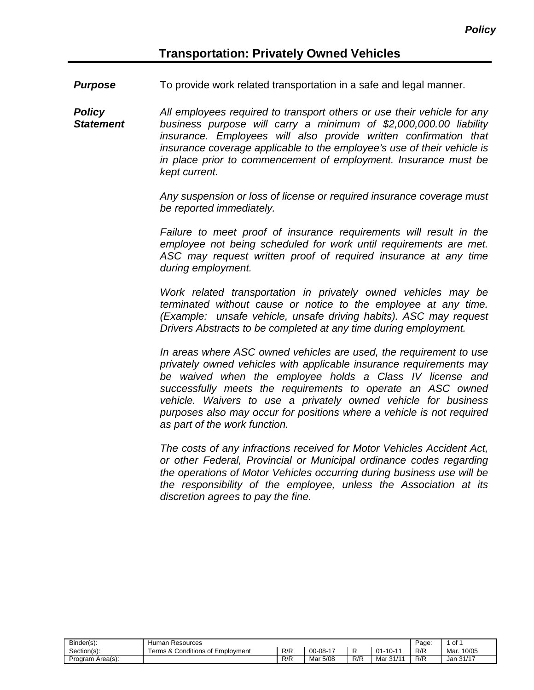**Purpose** To provide work related transportation in a safe and legal manner.

*Policy Statement All employees required to transport others or use their vehicle for any business purpose will carry a minimum of \$2,000,000.00 liability insurance. Employees will also provide written confirmation that insurance coverage applicable to the employee's use of their vehicle is in place prior to commencement of employment. Insurance must be kept current.*

> *Any suspension or loss of license or required insurance coverage must be reported immediately.*

> *Failure to meet proof of insurance requirements will result in the employee not being scheduled for work until requirements are met. ASC may request written proof of required insurance at any time during employment.*

> *Work related transportation in privately owned vehicles may be terminated without cause or notice to the employee at any time. (Example: unsafe vehicle, unsafe driving habits). ASC may request Drivers Abstracts to be completed at any time during employment.*

> *In areas where ASC owned vehicles are used, the requirement to use privately owned vehicles with applicable insurance requirements may be waived when the employee holds a Class IV license and successfully meets the requirements to operate an ASC owned vehicle. Waivers to use a privately owned vehicle for business purposes also may occur for positions where a vehicle is not required as part of the work function.*

> *The costs of any infractions received for Motor Vehicles Accident Act, or other Federal, Provincial or Municipal ordinance codes regarding the operations of Motor Vehicles occurring during business use will be the responsibility of the employee, unless the Association at its discretion agrees to pay the fine.*

| Binder(s):       | Human<br>Resources               | Page. | of       |     |                  |     |                    |
|------------------|----------------------------------|-------|----------|-----|------------------|-----|--------------------|
| Section(s):      | Terms & Conditions of Employment | R/R   | $00-08-$ |     | $-10-$<br>$01 -$ | R/R | 10/05<br>Mar.      |
| Program Area(s): |                                  | R/R   | Mar 5/08 | R/R | Mar 31/          | R/R | 24/47<br>Jan 31/17 |